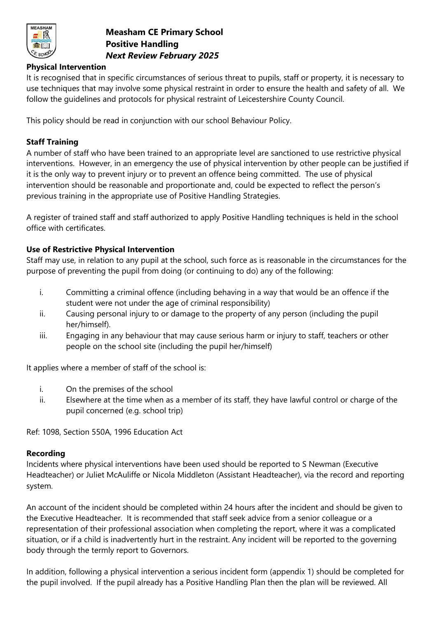

# **Measham CE Primary School Positive Handling** *Next Review February 2025*

## **Physical Intervention**

It is recognised that in specific circumstances of serious threat to pupils, staff or property, it is necessary to use techniques that may involve some physical restraint in order to ensure the health and safety of all. We follow the guidelines and protocols for physical restraint of Leicestershire County Council.

This policy should be read in conjunction with our school Behaviour Policy.

## **Staff Training**

A number of staff who have been trained to an appropriate level are sanctioned to use restrictive physical interventions. However, in an emergency the use of physical intervention by other people can be justified if it is the only way to prevent injury or to prevent an offence being committed. The use of physical intervention should be reasonable and proportionate and, could be expected to reflect the person's previous training in the appropriate use of Positive Handling Strategies.

A register of trained staff and staff authorized to apply Positive Handling techniques is held in the school office with certificates.

## **Use of Restrictive Physical Intervention**

Staff may use, in relation to any pupil at the school, such force as is reasonable in the circumstances for the purpose of preventing the pupil from doing (or continuing to do) any of the following:

- i. Committing a criminal offence (including behaving in a way that would be an offence if the student were not under the age of criminal responsibility)
- ii. Causing personal injury to or damage to the property of any person (including the pupil her/himself).
- iii. Engaging in any behaviour that may cause serious harm or injury to staff, teachers or other people on the school site (including the pupil her/himself)

It applies where a member of staff of the school is:

- i. On the premises of the school
- ii. Elsewhere at the time when as a member of its staff, they have lawful control or charge of the pupil concerned (e.g. school trip)

Ref: 1098, Section 550A, 1996 Education Act

#### **Recording**

Incidents where physical interventions have been used should be reported to S Newman (Executive Headteacher) or Juliet McAuliffe or Nicola Middleton (Assistant Headteacher), via the record and reporting system.

An account of the incident should be completed within 24 hours after the incident and should be given to the Executive Headteacher. It is recommended that staff seek advice from a senior colleague or a representation of their professional association when completing the report, where it was a complicated situation, or if a child is inadvertently hurt in the restraint. Any incident will be reported to the governing body through the termly report to Governors.

In addition, following a physical intervention a serious incident form (appendix 1) should be completed for the pupil involved. If the pupil already has a Positive Handling Plan then the plan will be reviewed. All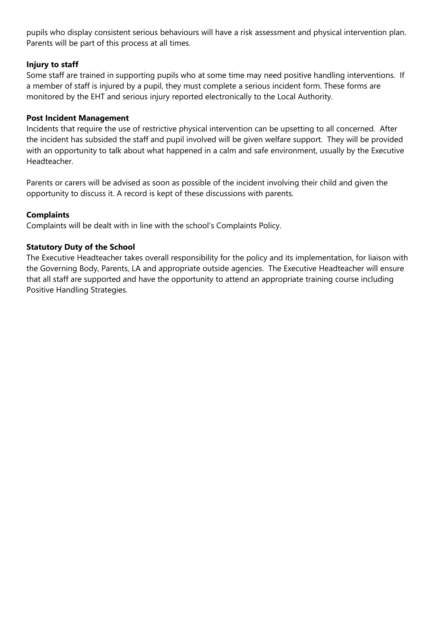pupils who display consistent serious behaviours will have a risk assessment and physical intervention plan. Parents will be part of this process at all times.

## **Injury to staff**

Some staff are trained in supporting pupils who at some time may need positive handling interventions. If a member of staff is injured by a pupil, they must complete a serious incident form. These forms are monitored by the EHT and serious injury reported electronically to the Local Authority.

## **Post Incident Management**

Incidents that require the use of restrictive physical intervention can be upsetting to all concerned. After the incident has subsided the staff and pupil involved will be given welfare support. They will be provided with an opportunity to talk about what happened in a calm and safe environment, usually by the Executive Headteacher.

Parents or carers will be advised as soon as possible of the incident involving their child and given the opportunity to discuss it. A record is kept of these discussions with parents.

## **Complaints**

Complaints will be dealt with in line with the school's Complaints Policy.

### **Statutory Duty of the School**

The Executive Headteacher takes overall responsibility for the policy and its implementation, for liaison with the Governing Body, Parents, LA and appropriate outside agencies. The Executive Headteacher will ensure that all staff are supported and have the opportunity to attend an appropriate training course including Positive Handling Strategies.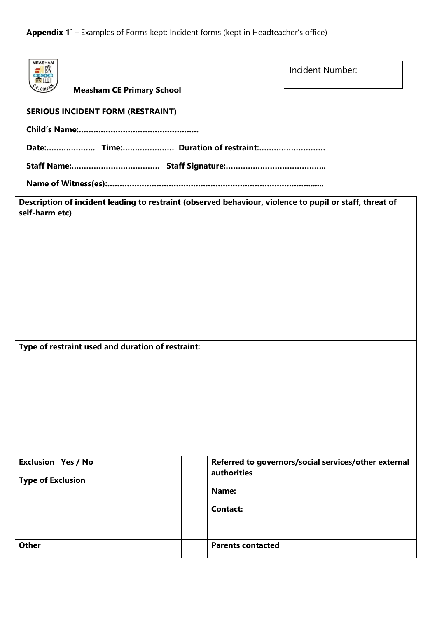**Appendix 1`** – Examples of Forms kept: Incident forms (kept in Headteacher's office)

| <b>MEASHAM</b><br>$\boxtimes$<br><b>Measham CE Primary School</b>                                                         |                          | Incident Number:                                     |  |
|---------------------------------------------------------------------------------------------------------------------------|--------------------------|------------------------------------------------------|--|
| <b>SERIOUS INCIDENT FORM (RESTRAINT)</b>                                                                                  |                          |                                                      |  |
|                                                                                                                           |                          |                                                      |  |
|                                                                                                                           |                          |                                                      |  |
|                                                                                                                           |                          |                                                      |  |
|                                                                                                                           |                          |                                                      |  |
| Description of incident leading to restraint (observed behaviour, violence to pupil or staff, threat of<br>self-harm etc) |                          |                                                      |  |
|                                                                                                                           |                          |                                                      |  |
|                                                                                                                           |                          |                                                      |  |
|                                                                                                                           |                          |                                                      |  |
|                                                                                                                           |                          |                                                      |  |
|                                                                                                                           |                          |                                                      |  |
|                                                                                                                           |                          |                                                      |  |
|                                                                                                                           |                          |                                                      |  |
| Type of restraint used and duration of restraint:                                                                         |                          |                                                      |  |
|                                                                                                                           |                          |                                                      |  |
|                                                                                                                           |                          |                                                      |  |
|                                                                                                                           |                          |                                                      |  |
|                                                                                                                           |                          |                                                      |  |
|                                                                                                                           |                          |                                                      |  |
| <b>Exclusion Yes / No</b>                                                                                                 |                          | Referred to governors/social services/other external |  |
| <b>Type of Exclusion</b>                                                                                                  | <b>authorities</b>       |                                                      |  |
|                                                                                                                           | Name:                    |                                                      |  |
|                                                                                                                           | <b>Contact:</b>          |                                                      |  |
|                                                                                                                           |                          |                                                      |  |
| <b>Other</b>                                                                                                              | <b>Parents contacted</b> |                                                      |  |
|                                                                                                                           |                          |                                                      |  |